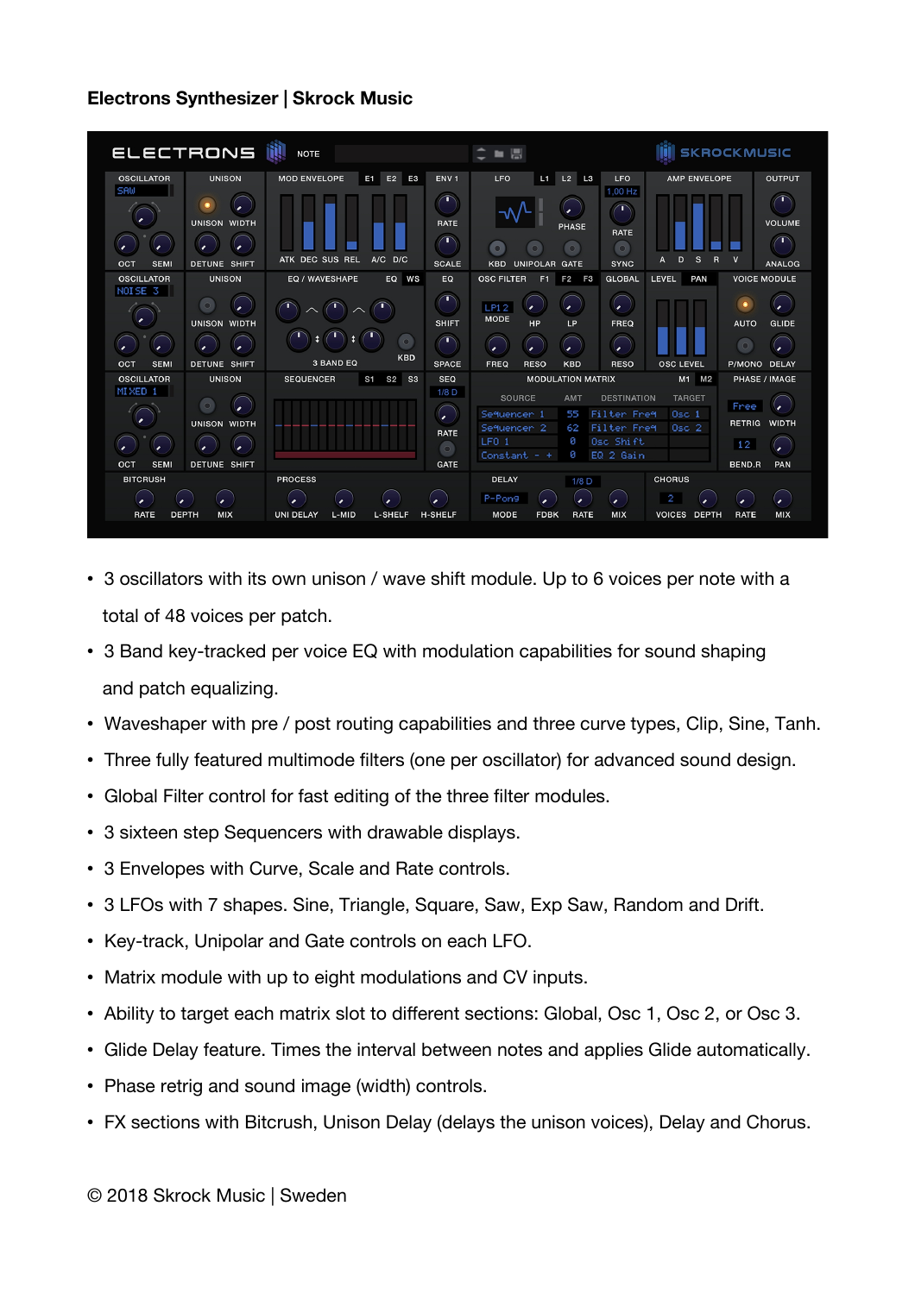| <b>OSCILLATOR</b><br>SAW                           | <b>UNISON</b>                                               |                                             |                  |                                                                                |                                                                                              | 團                                       |                                                              |                                                                            |                                                                    |                                              | <b>SKROCKMUSIC</b>                   |
|----------------------------------------------------|-------------------------------------------------------------|---------------------------------------------|------------------|--------------------------------------------------------------------------------|----------------------------------------------------------------------------------------------|-----------------------------------------|--------------------------------------------------------------|----------------------------------------------------------------------------|--------------------------------------------------------------------|----------------------------------------------|--------------------------------------|
|                                                    | <b>UNISON WIDTH</b>                                         | <b>MOD ENVELOPE</b><br>E1                   | E2<br><b>E3</b>  | ENV <sub>1</sub><br><b>RATE</b>                                                | <b>LFO</b>                                                                                   | L1                                      | $L2$ $L3$<br><b>PHASE</b><br>$\circ$                         | <b>LFO</b><br>1,00 Hz<br>ր<br><b>RATE</b><br>$\circ$                       | <b>AMP ENVELOPE</b>                                                |                                              | <b>OUTPUT</b><br><b>VOLUME</b>       |
| <b>SEMI</b><br>OCT<br><b>OSCILLATOR</b>            | <b>DETUNE SHIFT</b><br><b>UNISON</b>                        | ATK DEC SUS REL<br>EQ / WAVESHAPE           | A/C D/C<br>EQ WS | <b>SCALE</b><br>EQ                                                             | <b>KBD</b><br><b>OSC FILTER</b>                                                              | <b>UNIPOLAR</b>                         | <b>GATE</b><br>F1 F2 F3                                      | <b>SYNC</b><br><b>GLOBAL</b>                                               | D<br><b>S</b><br>$\overline{R}$<br>A<br><b>LEVEL</b><br><b>PAN</b> | $\mathbf v$                                  | <b>ANALOG</b><br><b>VOICE MODULE</b> |
| NOISE <sub>3</sub><br>$\circ$<br>$\mathbf{r}$      | <b>UNISON WIDTH</b>                                         |                                             | $\circ$          | <b>SHIFT</b><br>$\mathbf{r}$                                                   | LP12<br><b>MODE</b><br>$\mathbf{r}$                                                          | HP                                      | LP                                                           | $\bullet$<br>FREQ<br>$\mathbf{z}$                                          |                                                                    | $\bullet$<br><b>AUTO</b>                     | <b>GLIDE</b>                         |
| <b>SEMI</b><br>OCT                                 | <b>DETUNE SHIFT</b>                                         | <b>3 BAND EQ</b>                            | <b>KBD</b>       | <b>SPACE</b>                                                                   | <b>FREQ</b>                                                                                  | <b>RESO</b>                             | <b>KBD</b>                                                   | <b>RESO</b>                                                                | <b>OSC LEVEL</b>                                                   | P/MONO DELAY                                 |                                      |
| <b>OSCILLATOR</b><br>MIXED 1<br>OCT<br><b>SEMI</b> | <b>UNISON</b><br><b>UNISON WIDTH</b><br><b>DETUNE SHIFT</b> | <b>SEQUENCER</b>                            | S1 S2 S3         | <b>SEQ</b><br>$1/8$ D<br>$\mathbf{r}$<br><b>RATE</b><br>$\circ$<br><b>GATE</b> | <b>SOURCE</b><br>Sequencer 1<br>Sequencer <sub>2</sub><br>LFO <sub>1</sub><br>Constant $-$ + |                                         | <b>MODULATION MATRIX</b><br><b>AMT</b><br>55<br>62<br>ø<br>ø | <b>DESTINATION</b><br>Filter Freq<br>Filter Freq<br>Osc Shift<br>EQ 2 Gain | M1 M2<br><b>TARGET</b><br>$05$ 1<br>$0SC$ 2                        | Free<br><b>RETRIG</b><br>12<br><b>BEND.R</b> | PHASE / IMAGE<br><b>WIDTH</b><br>PAN |
| <b>BITCRUSH</b><br><b>RATE</b><br><b>DEPTH</b>     | ×<br><b>MIX</b>                                             | <b>PROCESS</b><br><b>UNI DELAY</b><br>L-MID | <b>L-SHELF</b>   | <b>H-SHELF</b>                                                                 | <b>DELAY</b><br>P-Pon9<br><b>MODE</b>                                                        | $\overline{\phantom{a}}$<br><b>FDBK</b> | $1/8$ D<br>$\mathbf{z}$<br><b>RATE</b>                       | ,<br><b>MIX</b>                                                            | <b>CHORUS</b><br>2<br><b>VOICES DEPTH</b>                          | <b>RATE</b>                                  | ٠<br><b>MIX</b>                      |

- 3 oscillators with its own unison / wave shift module. Up to 6 voices per note with a total of 48 voices per patch.
- 3 Band key-tracked per voice EQ with modulation capabilities for sound shaping and patch equalizing.
- Waveshaper with pre / post routing capabilities and three curve types, Clip, Sine, Tanh.
- Three fully featured multimode filters (one per oscillator) for advanced sound design.
- Global Filter control for fast editing of the three filter modules.
- 3 sixteen step Sequencers with drawable displays.
- 3 Envelopes with Curve, Scale and Rate controls.
- 3 LFOs with 7 shapes. Sine, Triangle, Square, Saw, Exp Saw, Random and Drift.
- Key-track, Unipolar and Gate controls on each LFO.
- Matrix module with up to eight modulations and CV inputs.
- Ability to target each matrix slot to diferent sections: Global, Osc 1, Osc 2, or Osc 3.
- Glide Delay feature. Times the interval between notes and applies Glide automatically.
- Phase retrig and sound image (width) controls.
- FX sections with Bitcrush, Unison Delay (delays the unison voices), Delay and Chorus.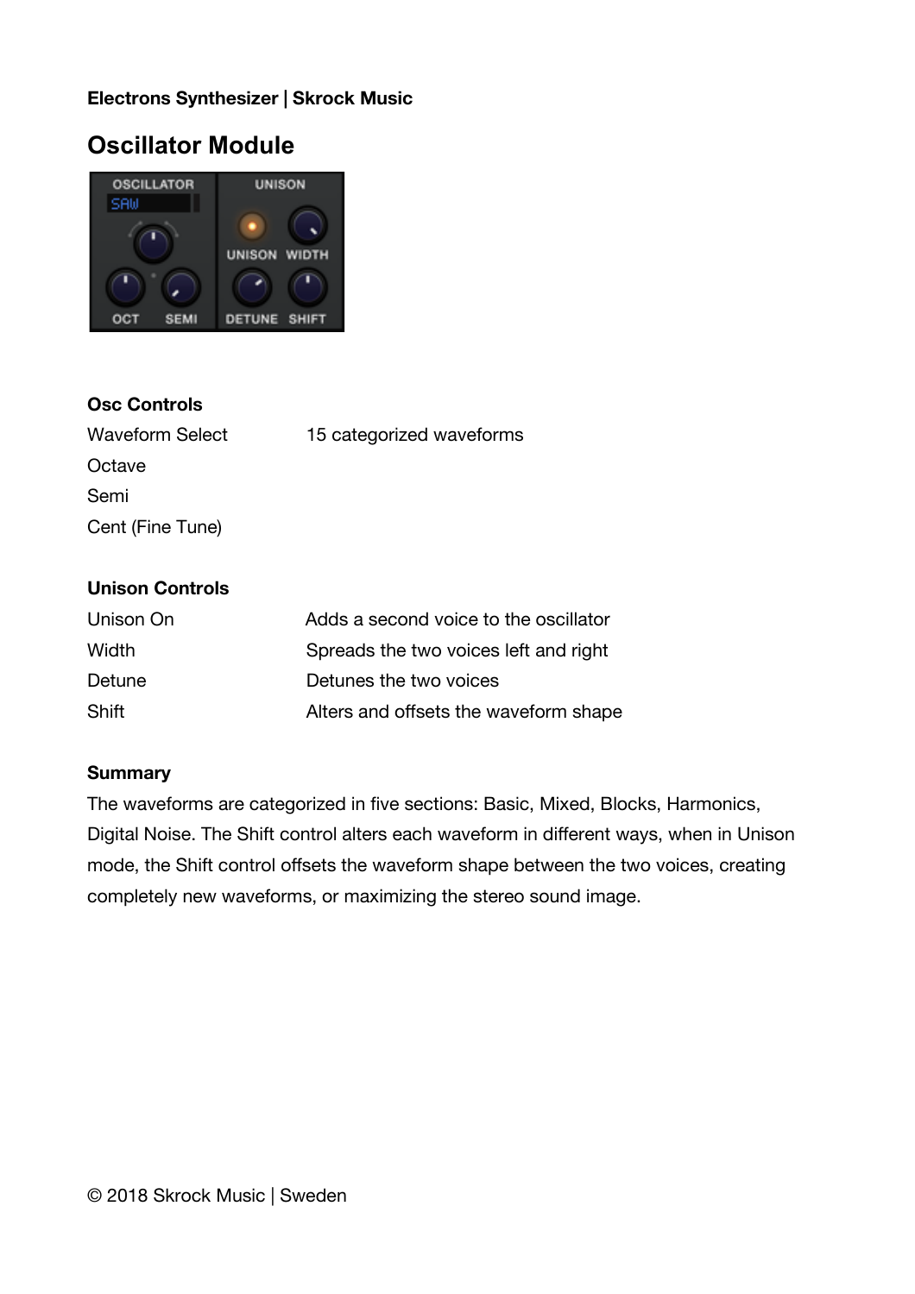## **Oscillator Module**



#### **Osc Controls**

| <b>Waveform Select</b> | 15 categorized waveforms |
|------------------------|--------------------------|
| Octave                 |                          |
| Semi                   |                          |
| Cent (Fine Tune)       |                          |

#### **Unison Controls**

| Unison On | Adds a second voice to the oscillator |
|-----------|---------------------------------------|
| Width     | Spreads the two voices left and right |
| Detune    | Detunes the two voices                |
| Shift     | Alters and offsets the waveform shape |

#### **Summary**

The waveforms are categorized in five sections: Basic, Mixed, Blocks, Harmonics, Digital Noise. The Shift control alters each waveform in diferent ways, when in Unison mode, the Shift control offsets the waveform shape between the two voices, creating completely new waveforms, or maximizing the stereo sound image.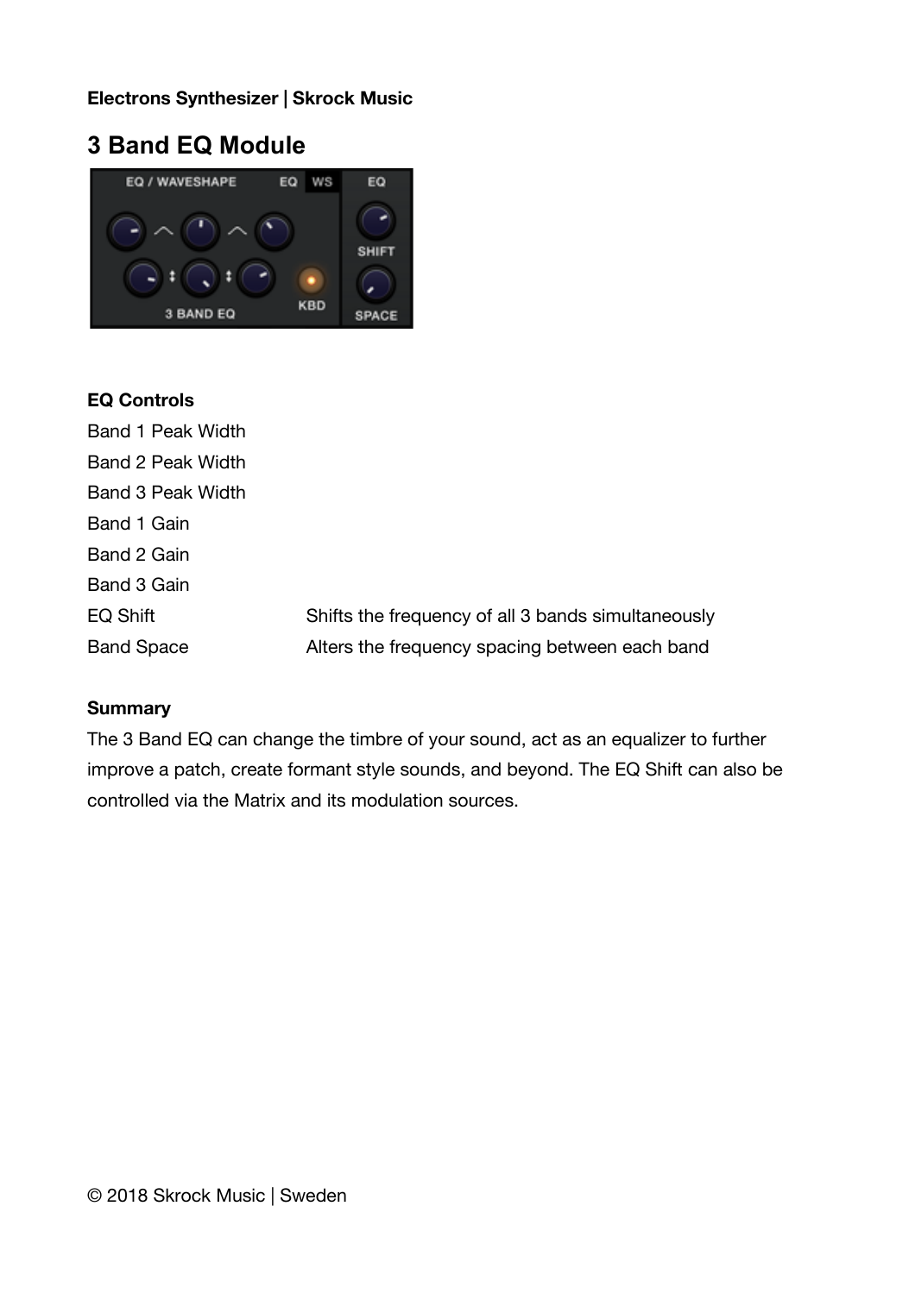## **3 Band EQ Module**



### **EQ Controls**

| Band 1 Peak Width  |                                                    |
|--------------------|----------------------------------------------------|
| Band 2 Peak Width  |                                                    |
| Band 3 Peak Width  |                                                    |
| Band 1 Gain        |                                                    |
| Band 2 Gain        |                                                    |
| <b>Band 3 Gain</b> |                                                    |
| EQ Shift           | Shifts the frequency of all 3 bands simultaneously |
| <b>Band Space</b>  | Alters the frequency spacing between each band     |

### **Summary**

The 3 Band EQ can change the timbre of your sound, act as an equalizer to further improve a patch, create formant style sounds, and beyond. The EQ Shift can also be controlled via the Matrix and its modulation sources.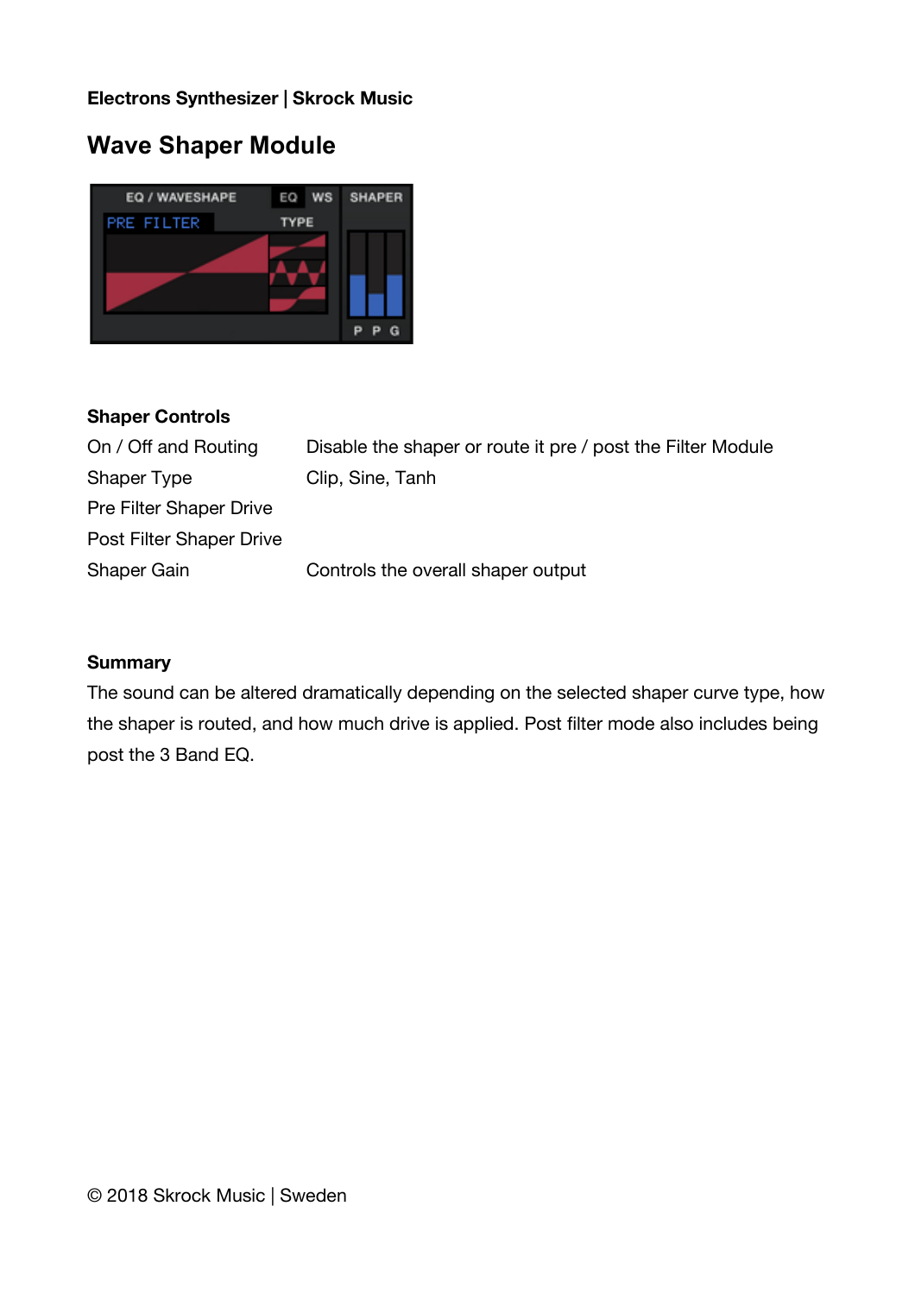## **Wave Shaper Module**



#### **Shaper Controls**

| On / Off and Routing     | Disable the shaper or route it pre / post the Filter Module |
|--------------------------|-------------------------------------------------------------|
| Shaper Type              | Clip, Sine, Tanh                                            |
| Pre Filter Shaper Drive  |                                                             |
| Post Filter Shaper Drive |                                                             |
| Shaper Gain              | Controls the overall shaper output                          |

#### **Summary**

The sound can be altered dramatically depending on the selected shaper curve type, how the shaper is routed, and how much drive is applied. Post filter mode also includes being post the 3 Band EQ.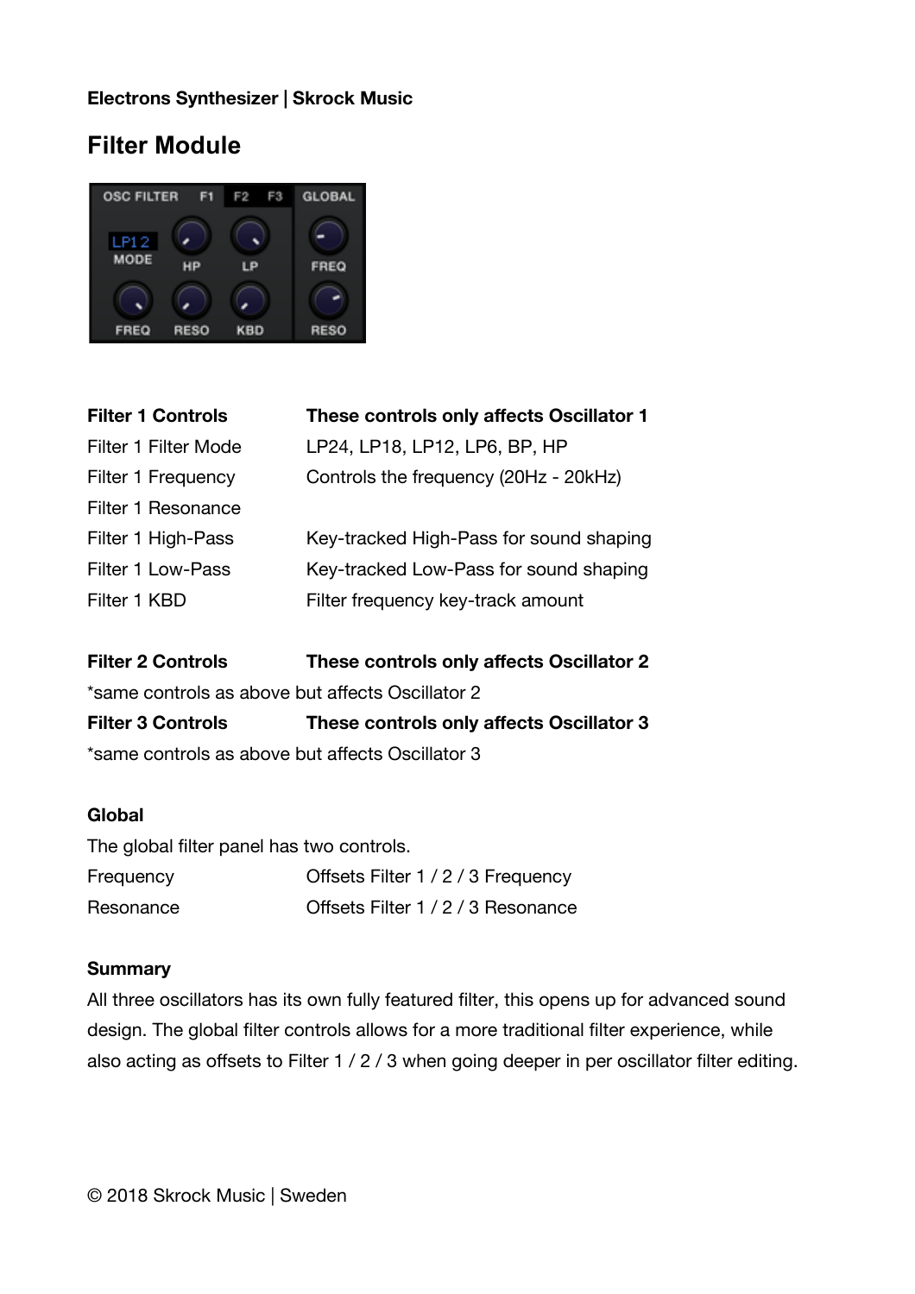## **Filter Module**



| <b>Filter 1 Controls</b> | These controls only affects Oscillator 1 |
|--------------------------|------------------------------------------|
| Filter 1 Filter Mode     | LP24, LP18, LP12, LP6, BP, HP            |
| Filter 1 Frequency       | Controls the frequency (20Hz - 20kHz)    |
| Filter 1 Resonance       |                                          |
| Filter 1 High-Pass       | Key-tracked High-Pass for sound shaping  |
| <b>Filter 1 Low-Pass</b> | Key-tracked Low-Pass for sound shaping   |
| Filter 1 KBD             | Filter frequency key-track amount        |
|                          |                                          |

**Filter 2 Controls These controls only afects Oscillator 2** \*same controls as above but afects Oscillator 2 **Filter 3 Controls These controls only afects Oscillator 3**

\*same controls as above but afects Oscillator 3

#### **Global**

| The global filter panel has two controls. |                                    |
|-------------------------------------------|------------------------------------|
| Frequency                                 | Offsets Filter 1 / 2 / 3 Frequency |
| Resonance                                 | Offsets Filter 1 / 2 / 3 Resonance |

#### **Summary**

All three oscillators has its own fully featured filter, this opens up for advanced sound design. The global filter controls allows for a more traditional filter experience, while also acting as offsets to Filter 1 / 2 / 3 when going deeper in per oscillator filter editing.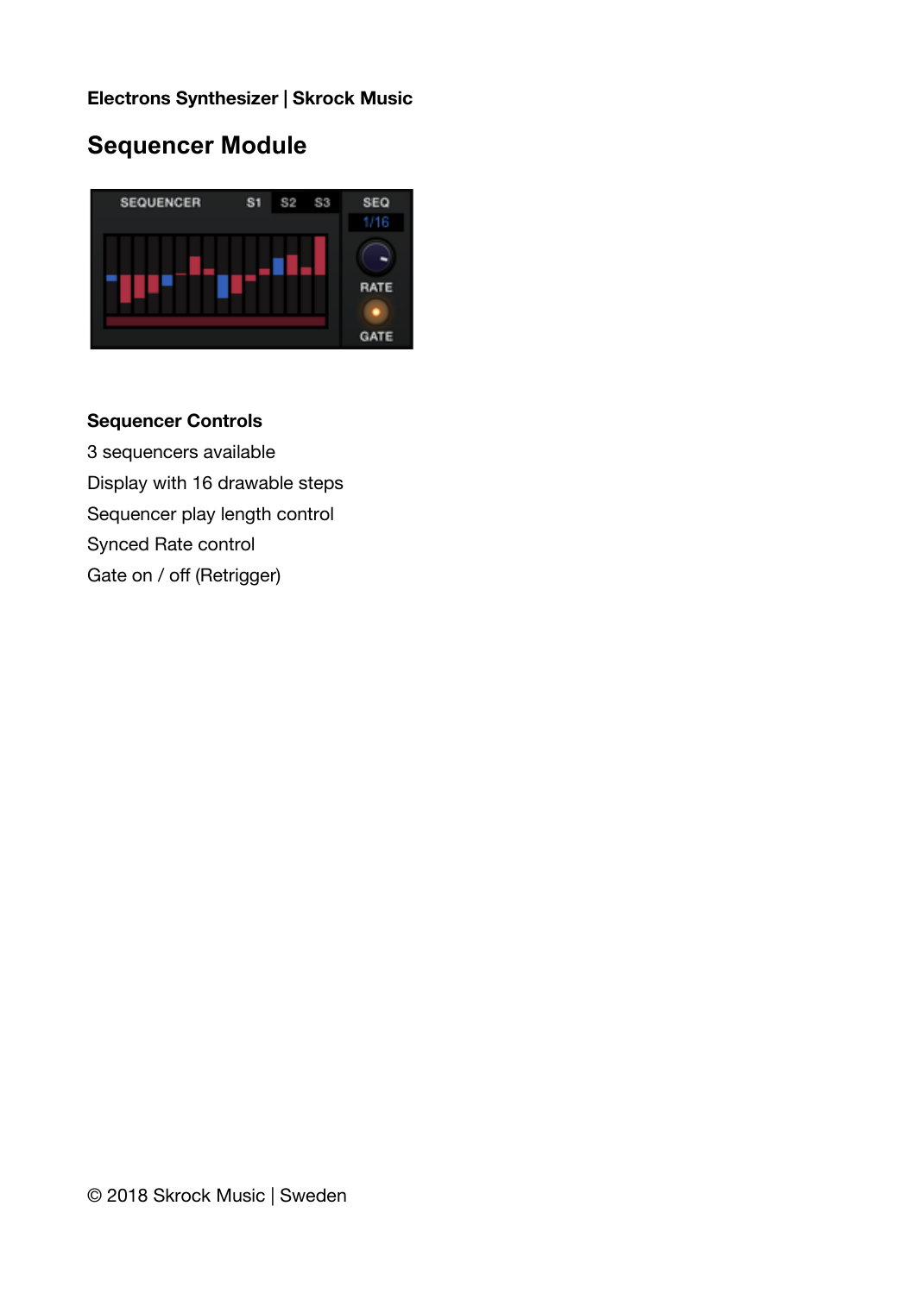## **Sequencer Module**



## **Sequencer Controls**

3 sequencers available Display with 16 drawable steps Sequencer play length control Synced Rate control Gate on / off (Retrigger)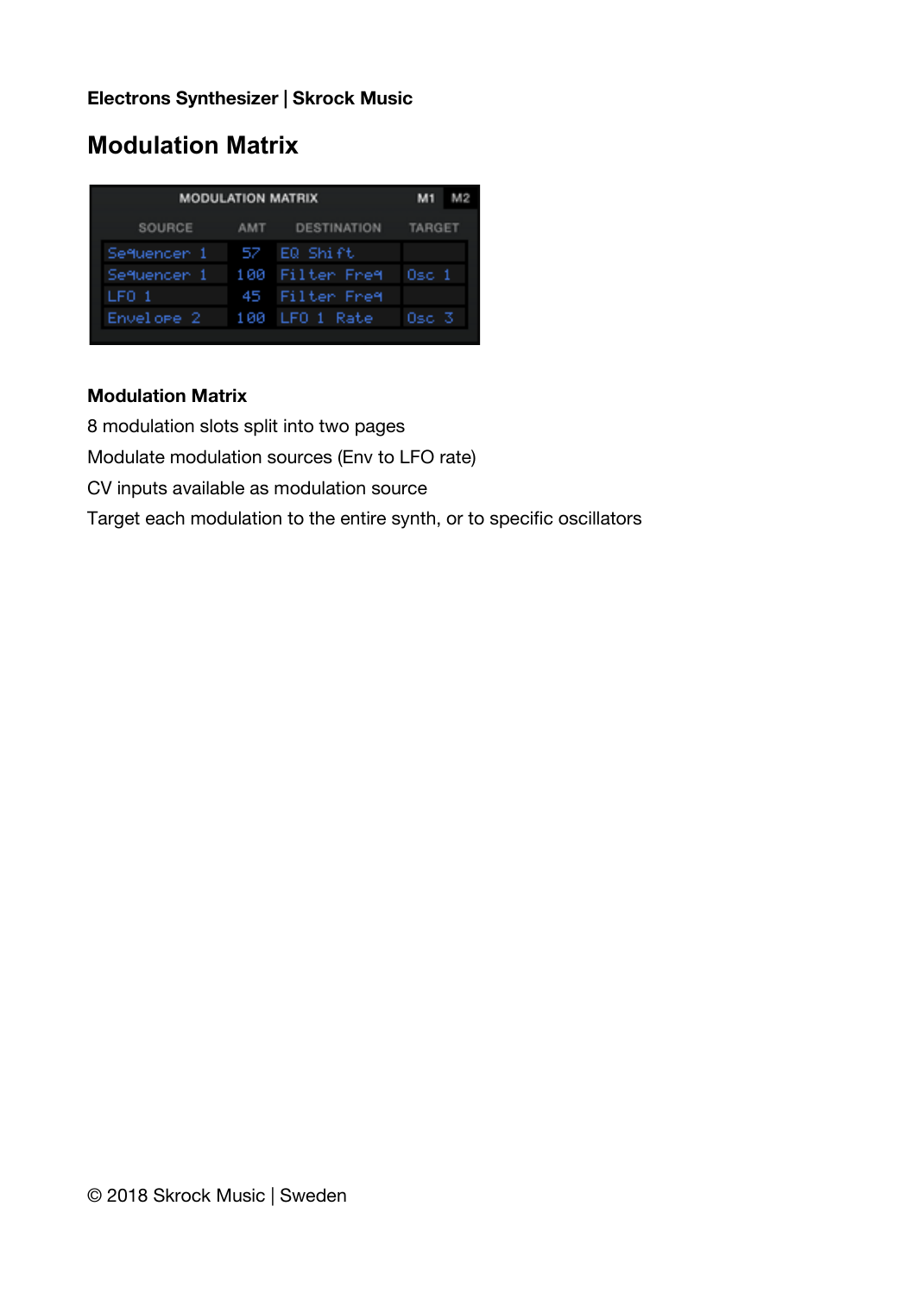# **Modulation Matrix**

| <b>MODULATION MATRIX</b> |            |                    | M <sub>1</sub> |  |
|--------------------------|------------|--------------------|----------------|--|
| SOURCE                   | <b>AMT</b> | <b>DESTINATION</b> | <b>TARGET</b>  |  |
| Sequencer 1              | 52         | EQ Shift           |                |  |
| Sequencer 1              |            | 100 Filter Freq    | $0SC$ 1        |  |
| LFO 1                    |            | 45 Filter Freq     |                |  |
| Envelope 2               |            | 100 LFO 1 Rate     | Osc. 3         |  |
|                          |            |                    |                |  |

## **Modulation Matrix**

8 modulation slots split into two pages

Modulate modulation sources (Env to LFO rate)

CV inputs available as modulation source

Target each modulation to the entire synth, or to specific oscillators